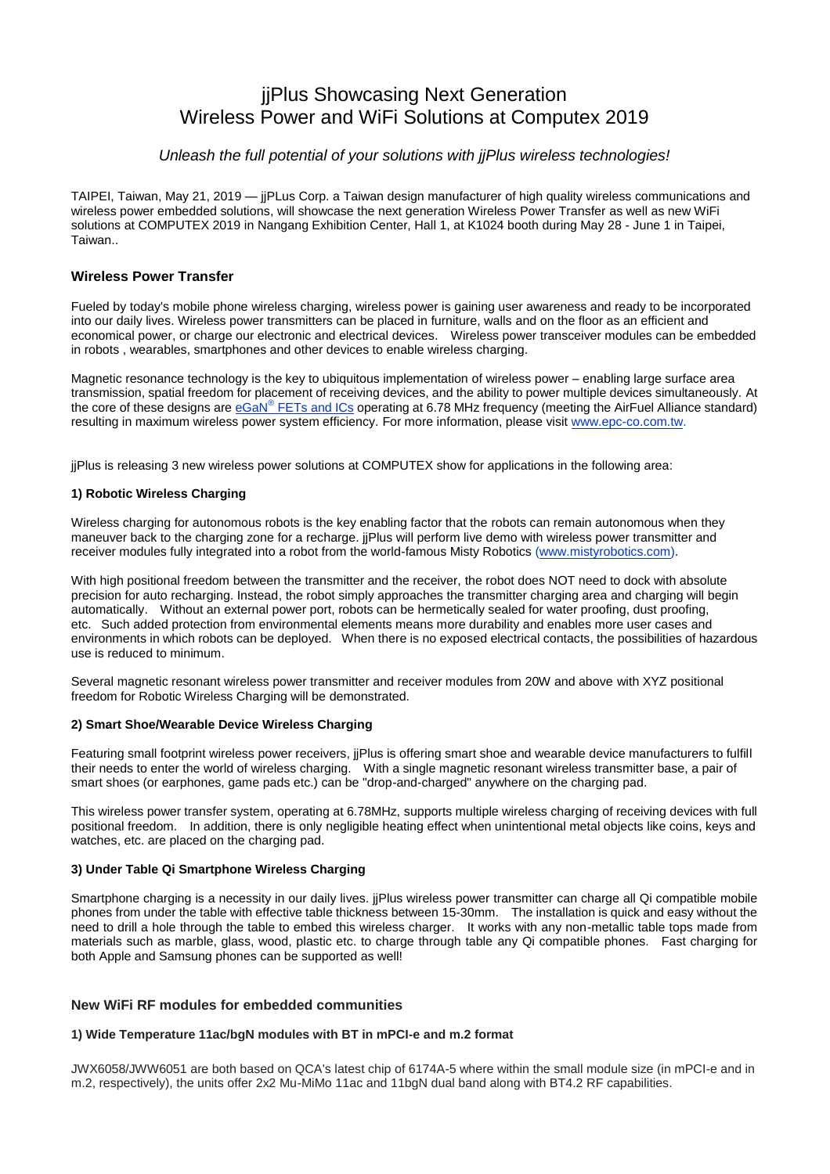# jjPlus Showcasing Next Generation Wireless Power and WiFi Solutions at Computex 2019

# *Unleash the full potential of your solutions with jjPlus wireless technologies!*

TAIPEI, Taiwan, May 21, 2019 — jjPLus Corp. a Taiwan design manufacturer of high quality wireless communications and wireless power embedded solutions, will showcase the next generation Wireless Power Transfer as well as new WiFi solutions at COMPUTEX 2019 in Nangang Exhibition Center, Hall 1, at K1024 booth during May 28 - June 1 in Taipei, Taiwan..

### **Wireless Power Transfer**

Fueled by today's mobile phone wireless charging, wireless power is gaining user awareness and ready to be incorporated into our daily lives. Wireless power transmitters can be placed in furniture, walls and on the floor as an efficient and economical power, or charge our electronic and electrical devices. Wireless power transceiver modules can be embedded in robots , wearables, smartphones and other devices to enable wireless charging.

Magnetic resonance technology is the key to ubiquitous implementation of wireless power – enabling large surface area transmission, spatial freedom for placement of receiving devices, and the ability to power multiple devices simultaneously. At the core of these designs are *eGaN® [FETs and ICs](https://epc-co.com/epc/Products/eGaNFETsandICs.aspx)* operating at 6.78 MHz frequency (meeting the AirFuel Alliance standard) resulting in maximum wireless power system efficiency. For more information, please visit [www.epc-co.com.tw.](https://epc-co.com/epc/tw/)

jjPlus is releasing 3 new wireless power solutions at COMPUTEX show for applications in the following area:

#### **1) Robotic Wireless Charging**

Wireless charging for autonomous robots is the key enabling factor that the robots can remain autonomous when they maneuver back to the charging zone for a recharge. jjPlus will perform live demo with wireless power transmitter and receiver modules fully integrated into a robot from the world-famous Misty Robotics [\(www.mistyrobotics.com\)](https://www.mistyrobotics.com/).

With high positional freedom between the transmitter and the receiver, the robot does NOT need to dock with absolute precision for auto recharging. Instead, the robot simply approaches the transmitter charging area and charging will begin automatically. Without an external power port, robots can be hermetically sealed for water proofing, dust proofing, etc. Such added protection from environmental elements means more durability and enables more user cases and environments in which robots can be deployed. When there is no exposed electrical contacts, the possibilities of hazardous use is reduced to minimum.

Several magnetic resonant wireless power transmitter and receiver modules from 20W and above with XYZ positional freedom for Robotic Wireless Charging will be demonstrated.

#### **2) Smart Shoe/Wearable Device Wireless Charging**

Featuring small footprint wireless power receivers, jjPlus is offering smart shoe and wearable device manufacturers to fulfill their needs to enter the world of wireless charging. With a single magnetic resonant wireless transmitter base, a pair of smart shoes (or earphones, game pads etc.) can be "drop-and-charged" anywhere on the charging pad.

This wireless power transfer system, operating at 6.78MHz, supports multiple wireless charging of receiving devices with full positional freedom. In addition, there is only negligible heating effect when unintentional metal objects like coins, keys and watches, etc. are placed on the charging pad.

# **3) Under Table Qi Smartphone Wireless Charging**

Smartphone charging is a necessity in our daily lives. jjPlus wireless power transmitter can charge all Qi compatible mobile phones from under the table with effective table thickness between 15-30mm. The installation is quick and easy without the need to drill a hole through the table to embed this wireless charger. It works with any non-metallic table tops made from materials such as marble, glass, wood, plastic etc. to charge through table any Qi compatible phones. Fast charging for both Apple and Samsung phones can be supported as well!

# **New WiFi RF modules for embedded communities**

# **1) Wide Temperature 11ac/bgN modules with BT in mPCI-e and m.2 format**

JWX6058/JWW6051 are both based on QCA's latest chip of 6174A-5 where within the small module size (in mPCI-e and in m.2, respectively), the units offer 2x2 Mu-MiMo 11ac and 11bgN dual band along with BT4.2 RF capabilities.